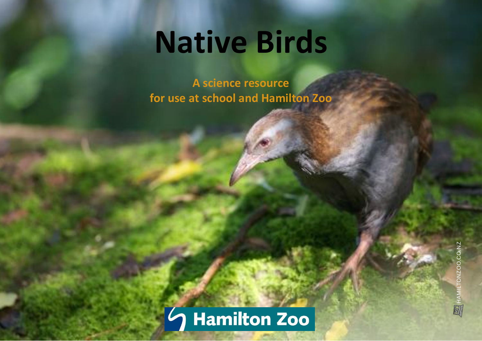# **Native Birds**

**A science resource for use at school and Hamilton Zoo**

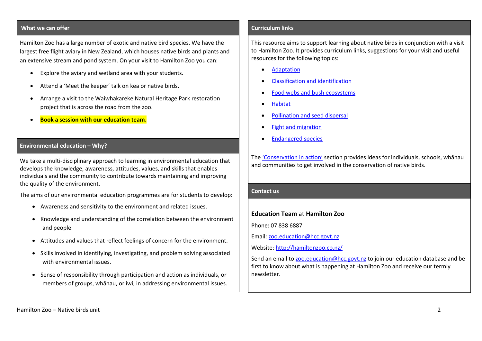### **What we can offer**

Hamilton Zoo has a large number of exotic and native bird species. We have the largest free flight aviary in New Zealand, which houses native birds and plants and an extensive stream and pond system. On your visit to Hamilton Zoo you can:

- Explore the aviary and wetland area with your students.
- Attend a 'Meet the keeper' talk on kea or native birds.
- Arrange a visit to the Waiwhakareke Natural Heritage Park restoration project that is across the road from the zoo.
- **Book a session with our education team**.

#### **Environmental education – Why?**

We take a multi-disciplinary approach to learning in environmental education that develops the knowledge, awareness, attitudes, values, and skills that enables individuals and the community to contribute towards maintaining and improving the quality of the environment.

The aims of our environmental education programmes are for students to develop:

- Awareness and sensitivity to the environment and related issues.
- Knowledge and understanding of the correlation between the environment and people.
- Attitudes and values that reflect feelings of concern for the environment.
- Skills involved in identifying, investigating, and problem solving associated with environmental issues.
- Sense of responsibility through participation and action as individuals, or members of groups, whānau, or iwi, in addressing environmental issues.

#### **Curriculum links**

This resource aims to support learning about native birds in conjunction with a visit to Hamilton Zoo. It provides curriculum links, suggestions for your visit and useful resources for the following topics:

- [Adaptation](#page-2-0)
- [Classification and identification](#page-3-0)
- [Food webs and bush ecosystems](#page-4-0)
- [Habitat](#page-5-0)
- [Pollination and seed dispersal](#page-6-0)
- [Fight and migration](#page-7-0)
- [Endangered species](#page-8-0)

The 'C[onservation in action](#page-10-0)' section provides ideas for individuals, schools, whānau and communities to get involved in the conservation of native birds.

#### **Contact us**

#### **Education Team** at **Hamilton Zoo**

Phone: 07 838 6887

Email: [zoo.education@hcc.govt.nz](mailto:zoo.education@hcc.govt.nz) 

Website[: http://hamiltonzoo.co.nz/](http://hamiltonzoo.co.nz/)

Send an email to [zoo.education@hcc.govt.nz](mailto:zoo.education@hcc.govt.nz) to join our education database and be first to know about what is happening at Hamilton Zoo and receive our termly newsletter.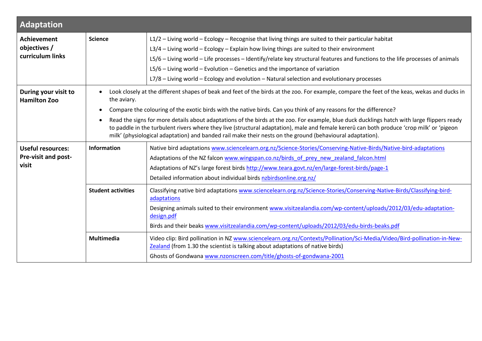<span id="page-2-0"></span>

| Adaptation                                                      |                           |                                                                                                                                                                                                                                                                                                                                                                                                                                                                                                                                                                                                                                                                            |  |
|-----------------------------------------------------------------|---------------------------|----------------------------------------------------------------------------------------------------------------------------------------------------------------------------------------------------------------------------------------------------------------------------------------------------------------------------------------------------------------------------------------------------------------------------------------------------------------------------------------------------------------------------------------------------------------------------------------------------------------------------------------------------------------------------|--|
| <b>Achievement</b><br>objectives /<br>curriculum links          | <b>Science</b>            | L1/2 - Living world - Ecology - Recognise that living things are suited to their particular habitat<br>L3/4 - Living world - Ecology - Explain how living things are suited to their environment<br>L5/6 - Living world - Life processes - Identify/relate key structural features and functions to the life processes of animals<br>$L5/6$ – Living world – Evolution – Genetics and the importance of variation<br>L7/8 - Living world - Ecology and evolution - Natural selection and evolutionary processes                                                                                                                                                            |  |
| During your visit to<br><b>Hamilton Zoo</b>                     | the aviary.               | Look closely at the different shapes of beak and feet of the birds at the zoo. For example, compare the feet of the keas, wekas and ducks in<br>Compare the colouring of the exotic birds with the native birds. Can you think of any reasons for the difference?<br>Read the signs for more details about adaptations of the birds at the zoo. For example, blue duck ducklings hatch with large flippers ready<br>to paddle in the turbulent rivers where they live (structural adaptation), male and female kererū can both produce 'crop milk' or 'pigeon<br>milk' (physiological adaptation) and banded rail make their nests on the ground (behavioural adaptation). |  |
| <b>Useful resources:</b><br><b>Pre-visit and post-</b><br>visit | Information               | Native bird adaptations www.sciencelearn.org.nz/Science-Stories/Conserving-Native-Birds/Native-bird-adaptations<br>Adaptations of the NZ falcon www.wingspan.co.nz/birds of prey new zealand falcon.html<br>Adaptations of NZ's large forest birds http://www.teara.govt.nz/en/large-forest-birds/page-1<br>Detailed information about individual birds nzbirdsonline.org.nz/                                                                                                                                                                                                                                                                                              |  |
|                                                                 | <b>Student activities</b> | Classifying native bird adaptations www.sciencelearn.org.nz/Science-Stories/Conserving-Native-Birds/Classifying-bird-<br>adaptations<br>Designing animals suited to their environment www.visitzealandia.com/wp-content/uploads/2012/03/edu-adaptation-<br>design.pdf<br>Birds and their beaks www.visitzealandia.com/wp-content/uploads/2012/03/edu-birds-beaks.pdf                                                                                                                                                                                                                                                                                                       |  |
|                                                                 | <b>Multimedia</b>         | Video clip: Bird pollination in NZ www.sciencelearn.org.nz/Contexts/Pollination/Sci-Media/Video/Bird-pollination-in-New-<br>Zealand (from 1.30 the scientist is talking about adaptations of native birds)<br>Ghosts of Gondwana www.nzonscreen.com/title/ghosts-of-gondwana-2001                                                                                                                                                                                                                                                                                                                                                                                          |  |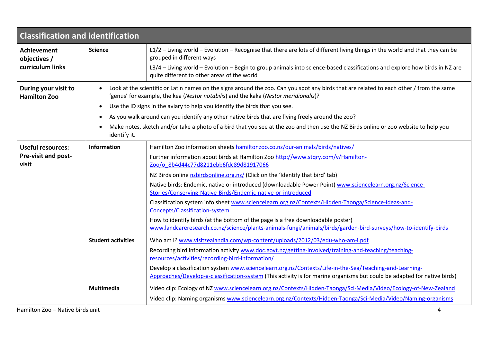<span id="page-3-0"></span>

| <b>Classification and identification</b>    |                                                                                                                                                      |                                                                                                                                                                                                                                     |  |
|---------------------------------------------|------------------------------------------------------------------------------------------------------------------------------------------------------|-------------------------------------------------------------------------------------------------------------------------------------------------------------------------------------------------------------------------------------|--|
| <b>Achievement</b><br>objectives /          | <b>Science</b>                                                                                                                                       | L1/2 - Living world - Evolution - Recognise that there are lots of different living things in the world and that they can be<br>grouped in different ways                                                                           |  |
| curriculum links                            |                                                                                                                                                      | L3/4 - Living world - Evolution - Begin to group animals into science-based classifications and explore how birds in NZ are<br>quite different to other areas of the world                                                          |  |
| During your visit to<br><b>Hamilton Zoo</b> |                                                                                                                                                      | Look at the scientific or Latin names on the signs around the zoo. Can you spot any birds that are related to each other / from the same<br>'genus' for example, the kea (Nestor notabilis) and the kaka (Nestor meridionalis)?     |  |
|                                             |                                                                                                                                                      | Use the ID signs in the aviary to help you identify the birds that you see.                                                                                                                                                         |  |
|                                             |                                                                                                                                                      | As you walk around can you identify any other native birds that are flying freely around the zoo?                                                                                                                                   |  |
|                                             | Make notes, sketch and/or take a photo of a bird that you see at the zoo and then use the NZ Birds online or zoo website to help you<br>identify it. |                                                                                                                                                                                                                                     |  |
| <b>Useful resources:</b>                    | Information                                                                                                                                          | Hamilton Zoo information sheets hamiltonzoo.co.nz/our-animals/birds/natives/                                                                                                                                                        |  |
| Pre-visit and post-<br>visit                |                                                                                                                                                      | Further information about birds at Hamilton Zoo http://www.stqry.com/v/Hamilton-<br>Zoo/o 8b4d44c77d8211ebb6fdc89d81917066                                                                                                          |  |
|                                             |                                                                                                                                                      | NZ Birds online nzbirdsonline.org.nz/ (Click on the 'Identify that bird' tab)                                                                                                                                                       |  |
|                                             |                                                                                                                                                      | Native birds: Endemic, native or introduced (downloadable Power Point) www.sciencelearn.org.nz/Science-<br>Stories/Conserving-Native-Birds/Endemic-native-or-introduced                                                             |  |
|                                             |                                                                                                                                                      | Classification system info sheet www.sciencelearn.org.nz/Contexts/Hidden-Taonga/Science-Ideas-and-<br>Concepts/Classification-system                                                                                                |  |
|                                             |                                                                                                                                                      | How to identify birds (at the bottom of the page is a free downloadable poster)<br>www.landcareresearch.co.nz/science/plants-animals-fungi/animals/birds/garden-bird-surveys/how-to-identify-birds                                  |  |
|                                             | <b>Student activities</b>                                                                                                                            | Who am I? www.visitzealandia.com/wp-content/uploads/2012/03/edu-who-am-i.pdf                                                                                                                                                        |  |
|                                             |                                                                                                                                                      | Recording bird information activity www.doc.govt.nz/getting-involved/training-and-teaching/teaching-<br>resources/activities/recording-bird-information/                                                                            |  |
|                                             |                                                                                                                                                      | Develop a classification system www.sciencelearn.org.nz/Contexts/Life-in-the-Sea/Teaching-and-Learning-<br>Approaches/Develop-a-classification-system (This activity is for marine organisms but could be adapted for native birds) |  |
|                                             | Multimedia                                                                                                                                           | Video clip: Ecology of NZ www.sciencelearn.org.nz/Contexts/Hidden-Taonga/Sci-Media/Video/Ecology-of-New-Zealand<br>Video clip: Naming organisms www.sciencelearn.org.nz/Contexts/Hidden-Taonga/Sci-Media/Video/Naming-organisms     |  |

Hamilton Zoo – Native birds unit 4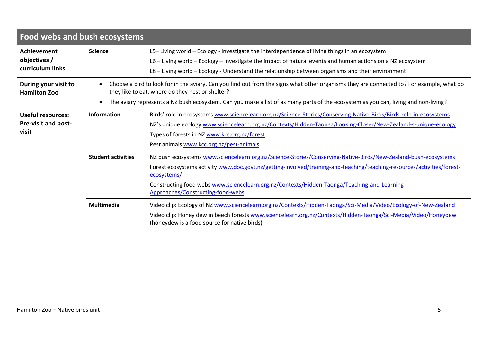<span id="page-4-0"></span>

| Food webs and bush ecosystems                            |                                                                                                                                                                                                                                                                                                                                      |                                                                                                                                                                                                                                                                                                                                                                                               |  |
|----------------------------------------------------------|--------------------------------------------------------------------------------------------------------------------------------------------------------------------------------------------------------------------------------------------------------------------------------------------------------------------------------------|-----------------------------------------------------------------------------------------------------------------------------------------------------------------------------------------------------------------------------------------------------------------------------------------------------------------------------------------------------------------------------------------------|--|
| <b>Achievement</b><br>objectives /<br>curriculum links   | <b>Science</b>                                                                                                                                                                                                                                                                                                                       | L5-Living world - Ecology - Investigate the interdependence of living things in an ecosystem<br>L6 - Living world - Ecology - Investigate the impact of natural events and human actions on a NZ ecosystem<br>L8 - Living world - Ecology - Understand the relationship between organisms and their environment                                                                               |  |
| During your visit to<br><b>Hamilton Zoo</b>              | Choose a bird to look for in the aviary. Can you find out from the signs what other organisms they are connected to? For example, what do<br>they like to eat, where do they nest or shelter?<br>The aviary represents a NZ bush ecosystem. Can you make a list of as many parts of the ecosystem as you can, living and non-living? |                                                                                                                                                                                                                                                                                                                                                                                               |  |
| Useful resources:<br><b>Pre-visit and post-</b><br>visit | Information                                                                                                                                                                                                                                                                                                                          | Birds' role in ecosystems www.sciencelearn.org.nz/Science-Stories/Conserving-Native-Birds/Birds-role-in-ecosystems<br>NZ's unique ecology www.sciencelearn.org.nz/Contexts/Hidden-Taonga/Looking-Closer/New-Zealand-s-unique-ecology<br>Types of forests in NZ www.kcc.org.nz/forest<br>Pest animals www.kcc.org.nz/pest-animals                                                              |  |
|                                                          | <b>Student activities</b>                                                                                                                                                                                                                                                                                                            | NZ bush ecosystems www.sciencelearn.org.nz/Science-Stories/Conserving-Native-Birds/New-Zealand-bush-ecosystems<br>Forest ecosystems activity www.doc.govt.nz/getting-involved/training-and-teaching/teaching-resources/activities/forest-<br>ecosystems/<br>Constructing food webs www.sciencelearn.org.nz/Contexts/Hidden-Taonga/Teaching-and-Learning-<br>Approaches/Constructing-food-webs |  |
|                                                          | <b>Multimedia</b>                                                                                                                                                                                                                                                                                                                    | Video clip: Ecology of NZ www.sciencelearn.org.nz/Contexts/Hidden-Taonga/Sci-Media/Video/Ecology-of-New-Zealand<br>Video clip: Honey dew in beech forests www.sciencelearn.org.nz/Contexts/Hidden-Taonga/Sci-Media/Video/Honeydew<br>(honeydew is a food source for native birds)                                                                                                             |  |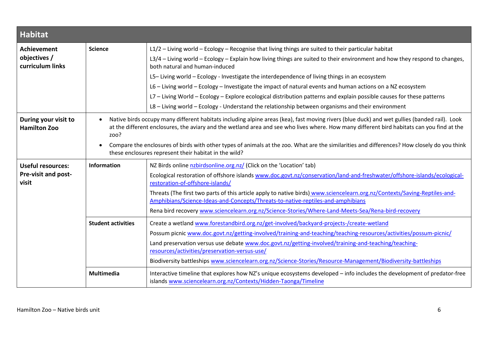<span id="page-5-0"></span>

| <b>Habitat</b>                                                  |                           |                                                                                                                                                                                                                                                                                                                                                                                                                                                                                                                                                           |  |
|-----------------------------------------------------------------|---------------------------|-----------------------------------------------------------------------------------------------------------------------------------------------------------------------------------------------------------------------------------------------------------------------------------------------------------------------------------------------------------------------------------------------------------------------------------------------------------------------------------------------------------------------------------------------------------|--|
| <b>Achievement</b><br>objectives /<br>curriculum links          | <b>Science</b>            | $L1/2$ - Living world - Ecology - Recognise that living things are suited to their particular habitat<br>L3/4 - Living world - Ecology - Explain how living things are suited to their environment and how they respond to changes,<br>both natural and human-induced                                                                                                                                                                                                                                                                                     |  |
|                                                                 |                           | L5-Living world - Ecology - Investigate the interdependence of living things in an ecosystem<br>L6 - Living world - Ecology - Investigate the impact of natural events and human actions on a NZ ecosystem<br>L7 - Living World - Ecology - Explore ecological distribution patterns and explain possible causes for these patterns<br>L8 - Living world - Ecology - Understand the relationship between organisms and their environment                                                                                                                  |  |
| During your visit to<br><b>Hamilton Zoo</b>                     | zoo?                      | Native birds occupy many different habitats including alpine areas (kea), fast moving rivers (blue duck) and wet gullies (banded rail). Look<br>at the different enclosures, the aviary and the wetland area and see who lives where. How many different bird habitats can you find at the<br>Compare the enclosures of birds with other types of animals at the zoo. What are the similarities and differences? How closely do you think<br>these enclosures represent their habitat in the wild?                                                        |  |
| <b>Useful resources:</b><br><b>Pre-visit and post-</b><br>visit | <b>Information</b>        | NZ Birds online nzbirdsonline.org.nz/ (Click on the 'Location' tab)<br>Ecological restoration of offshore islands www.doc.govt.nz/conservation/land-and-freshwater/offshore-islands/ecological-<br>restoration-of-offshore-islands/<br>Threats (The first two parts of this article apply to native birds) www.sciencelearn.org.nz/Contexts/Saving-Reptiles-and-<br>Amphibians/Science-Ideas-and-Concepts/Threats-to-native-reptiles-and-amphibians<br>Rena bird recovery www.sciencelearn.org.nz/Science-Stories/Where-Land-Meets-Sea/Rena-bird-recovery |  |
|                                                                 | <b>Student activities</b> | Create a wetland www.forestandbird.org.nz/get-involved/backyard-projects-/create-wetland<br>Possum picnic www.doc.govt.nz/getting-involved/training-and-teaching/teaching-resources/activities/possum-picnic/<br>Land preservation versus use debate www.doc.govt.nz/getting-involved/training-and-teaching/teaching-<br>resources/activities/preservation-versus-use/<br>Biodiversity battleships www.sciencelearn.org.nz/Science-Stories/Resource-Management/Biodiversity-battleships                                                                   |  |
|                                                                 | <b>Multimedia</b>         | Interactive timeline that explores how NZ's unique ecosystems developed - info includes the development of predator-free<br>islands www.sciencelearn.org.nz/Contexts/Hidden-Taonga/Timeline                                                                                                                                                                                                                                                                                                                                                               |  |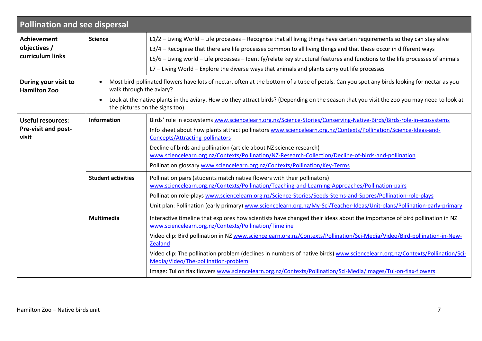<span id="page-6-0"></span>

| <b>Pollination and see dispersal</b>                     |                           |                                                                                                                                                                                                                                                                                                                                                                                                                                                                                                                                                                                                                 |  |
|----------------------------------------------------------|---------------------------|-----------------------------------------------------------------------------------------------------------------------------------------------------------------------------------------------------------------------------------------------------------------------------------------------------------------------------------------------------------------------------------------------------------------------------------------------------------------------------------------------------------------------------------------------------------------------------------------------------------------|--|
| <b>Achievement</b><br>objectives /<br>curriculum links   | <b>Science</b>            | L1/2 - Living World - Life processes - Recognise that all living things have certain requirements so they can stay alive<br>L3/4 – Recognise that there are life processes common to all living things and that these occur in different ways<br>L5/6 - Living world - Life processes - Identify/relate key structural features and functions to the life processes of animals<br>L7 - Living World - Explore the diverse ways that animals and plants carry out life processes                                                                                                                                 |  |
| During your visit to<br><b>Hamilton Zoo</b>              | $\bullet$                 | Most bird-pollinated flowers have lots of nectar, often at the bottom of a tube of petals. Can you spot any birds looking for nectar as you<br>walk through the aviary?<br>Look at the native plants in the aviary. How do they attract birds? (Depending on the season that you visit the zoo you may need to look at<br>the pictures on the signs too).                                                                                                                                                                                                                                                       |  |
| <b>Useful resources:</b><br>Pre-visit and post-<br>visit | Information               | Birds' role in ecosystems www.sciencelearn.org.nz/Science-Stories/Conserving-Native-Birds/Birds-role-in-ecosystems<br>Info sheet about how plants attract pollinators www.sciencelearn.org.nz/Contexts/Pollination/Science-Ideas-and-<br><b>Concepts/Attracting-pollinators</b><br>Decline of birds and pollination (article about NZ science research)<br>www.sciencelearn.org.nz/Contexts/Pollination/NZ-Research-Collection/Decline-of-birds-and-pollination<br>Pollination glossary www.sciencelearn.org.nz/Contexts/Pollination/Key-Terms                                                                  |  |
|                                                          | <b>Student activities</b> | Pollination pairs (students match native flowers with their pollinators)<br>www.sciencelearn.org.nz/Contexts/Pollination/Teaching-and-Learning-Approaches/Pollination-pairs<br>Pollination role-plays www.sciencelearn.org.nz/Science-Stories/Seeds-Stems-and-Spores/Pollination-role-plays<br>Unit plan: Pollination (early primary) www.sciencelearn.org.nz/My-Sci/Teacher-Ideas/Unit-plans/Pollination-early-primary                                                                                                                                                                                         |  |
|                                                          | Multimedia                | Interactive timeline that explores how scientists have changed their ideas about the importance of bird pollination in NZ<br>www.sciencelearn.org.nz/Contexts/Pollination/Timeline<br>Video clip: Bird pollination in NZ www.sciencelearn.org.nz/Contexts/Pollination/Sci-Media/Video/Bird-pollination-in-New-<br>Zealand<br>Video clip: The pollination problem (declines in numbers of native birds) www.sciencelearn.org.nz/Contexts/Pollination/Sci-<br>Media/Video/The-pollination-problem<br>Image: Tui on flax flowers www.sciencelearn.org.nz/Contexts/Pollination/Sci-Media/Images/Tui-on-flax-flowers |  |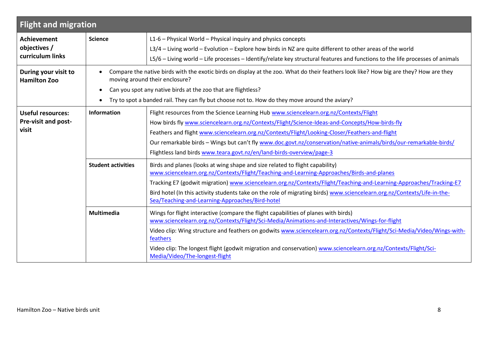<span id="page-7-0"></span>

| <b>Flight and migration</b>                              |                           |                                                                                                                                                                                                                                                                                                                                                                                                                                                                                           |  |
|----------------------------------------------------------|---------------------------|-------------------------------------------------------------------------------------------------------------------------------------------------------------------------------------------------------------------------------------------------------------------------------------------------------------------------------------------------------------------------------------------------------------------------------------------------------------------------------------------|--|
| <b>Achievement</b><br>objectives /<br>curriculum links   | <b>Science</b>            | L1-6 - Physical World - Physical inquiry and physics concepts<br>L3/4 - Living world - Evolution - Explore how birds in NZ are quite different to other areas of the world<br>L5/6 - Living world - Life processes - Identify/relate key structural features and functions to the life processes of animals                                                                                                                                                                               |  |
| During your visit to<br><b>Hamilton Zoo</b>              |                           | Compare the native birds with the exotic birds on display at the zoo. What do their feathers look like? How big are they? How are they<br>moving around their enclosure?<br>Can you spot any native birds at the zoo that are flightless?<br>Try to spot a banded rail. They can fly but choose not to. How do they move around the aviary?                                                                                                                                               |  |
| <b>Useful resources:</b><br>Pre-visit and post-<br>visit | Information               | Flight resources from the Science Learning Hub www.sciencelearn.org.nz/Contexts/Flight<br>How birds fly www.sciencelearn.org.nz/Contexts/Flight/Science-Ideas-and-Concepts/How-birds-fly<br>Feathers and flight www.sciencelearn.org.nz/Contexts/Flight/Looking-Closer/Feathers-and-flight<br>Our remarkable birds - Wings but can't fly www.doc.govt.nz/conservation/native-animals/birds/our-remarkable-birds/<br>Flightless land birds www.teara.govt.nz/en/land-birds-overview/page-3 |  |
|                                                          | <b>Student activities</b> | Birds and planes (looks at wing shape and size related to flight capability)<br>www.sciencelearn.org.nz/Contexts/Flight/Teaching-and-Learning-Approaches/Birds-and-planes<br>Tracking E7 (godwit migration) www.sciencelearn.org.nz/Contexts/Flight/Teaching-and-Learning-Approaches/Tracking-E7<br>Bird hotel (In this activity students take on the role of migrating birds) www.sciencelearn.org.nz/Contexts/Life-in-the-<br>Sea/Teaching-and-Learning-Approaches/Bird-hotel           |  |
|                                                          | <b>Multimedia</b>         | Wings for flight interactive (compare the flight capabilities of planes with birds)<br>www.sciencelearn.org.nz/Contexts/Flight/Sci-Media/Animations-and-Interactives/Wings-for-flight<br>Video clip: Wing structure and feathers on godwits www.sciencelearn.org.nz/Contexts/Flight/Sci-Media/Video/Wings-with-<br>feathers<br>Video clip: The longest flight (godwit migration and conservation) www.sciencelearn.org.nz/Contexts/Flight/Sci-<br>Media/Video/The-longest-flight          |  |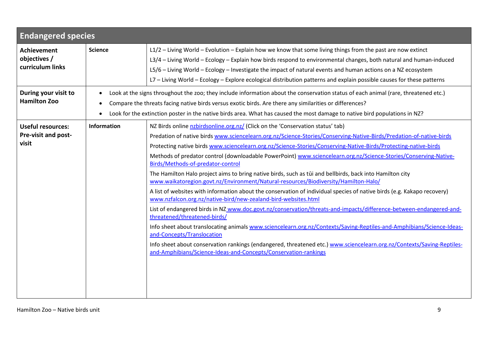<span id="page-8-0"></span>

| <b>Endangered species</b>                                |                                                                                                                                                                                                                                                                                                                                                                              |                                                                                                                                                                                                                                                                                                                                                                                                                                                                                                                                                                                                                                                                                                                                                                                                                                                                                                                                                                                                                                                                                                                                                                                                                                                                                                                                                                                             |
|----------------------------------------------------------|------------------------------------------------------------------------------------------------------------------------------------------------------------------------------------------------------------------------------------------------------------------------------------------------------------------------------------------------------------------------------|---------------------------------------------------------------------------------------------------------------------------------------------------------------------------------------------------------------------------------------------------------------------------------------------------------------------------------------------------------------------------------------------------------------------------------------------------------------------------------------------------------------------------------------------------------------------------------------------------------------------------------------------------------------------------------------------------------------------------------------------------------------------------------------------------------------------------------------------------------------------------------------------------------------------------------------------------------------------------------------------------------------------------------------------------------------------------------------------------------------------------------------------------------------------------------------------------------------------------------------------------------------------------------------------------------------------------------------------------------------------------------------------|
| <b>Achievement</b><br>objectives /<br>curriculum links   | <b>Science</b>                                                                                                                                                                                                                                                                                                                                                               | L1/2 - Living World - Evolution - Explain how we know that some living things from the past are now extinct<br>L3/4 - Living World - Ecology - Explain how birds respond to environmental changes, both natural and human-induced<br>L5/6 - Living World - Ecology - Investigate the impact of natural events and human actions on a NZ ecosystem<br>L7 - Living World - Ecology - Explore ecological distribution patterns and explain possible causes for these patterns                                                                                                                                                                                                                                                                                                                                                                                                                                                                                                                                                                                                                                                                                                                                                                                                                                                                                                                  |
| During your visit to<br><b>Hamilton Zoo</b>              | Look at the signs throughout the zoo; they include information about the conservation status of each animal (rare, threatened etc.)<br>Compare the threats facing native birds versus exotic birds. Are there any similarities or differences?<br>Look for the extinction poster in the native birds area. What has caused the most damage to native bird populations in NZ? |                                                                                                                                                                                                                                                                                                                                                                                                                                                                                                                                                                                                                                                                                                                                                                                                                                                                                                                                                                                                                                                                                                                                                                                                                                                                                                                                                                                             |
| <b>Useful resources:</b><br>Pre-visit and post-<br>visit | Information                                                                                                                                                                                                                                                                                                                                                                  | NZ Birds online nzbirdsonline.org.nz/ (Click on the 'Conservation status' tab)<br>Predation of native birds www.sciencelearn.org.nz/Science-Stories/Conserving-Native-Birds/Predation-of-native-birds<br>Protecting native birds www.sciencelearn.org.nz/Science-Stories/Conserving-Native-Birds/Protecting-native-birds<br>Methods of predator control (downloadable PowerPoint) www.sciencelearn.org.nz/Science-Stories/Conserving-Native-<br>Birds/Methods-of-predator-control<br>The Hamilton Halo project aims to bring native birds, such as tūi and bellbirds, back into Hamilton city<br>www.waikatoregion.govt.nz/Environment/Natural-resources/Biodiversity/Hamilton-Halo/<br>A list of websites with information about the conservation of individual species of native birds (e.g. Kakapo recovery)<br>www.nzfalcon.org.nz/native-bird/new-zealand-bird-websites.html<br>List of endangered birds in NZ www.doc.govt.nz/conservation/threats-and-impacts/difference-between-endangered-and-<br>threatened/threatened-birds/<br>Info sheet about translocating animals www.sciencelearn.org.nz/Contexts/Saving-Reptiles-and-Amphibians/Science-Ideas-<br>and-Concepts/Translocation<br>Info sheet about conservation rankings (endangered, threatened etc.) www.sciencelearn.org.nz/Contexts/Saving-Reptiles-<br>and-Amphibians/Science-Ideas-and-Concepts/Conservation-rankings |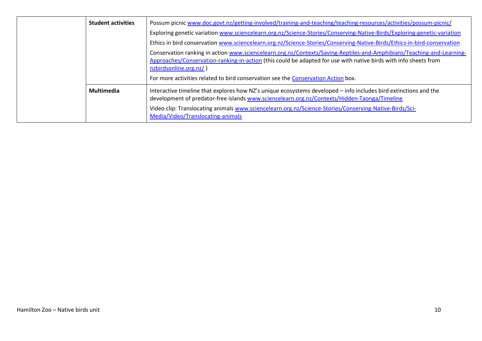| <b>Student activities</b> | Possum picnic www.doc.govt.nz/getting-involved/training-and-teaching/teaching-resources/activities/possum-picnic/                                                                                                                                                   |  |
|---------------------------|---------------------------------------------------------------------------------------------------------------------------------------------------------------------------------------------------------------------------------------------------------------------|--|
|                           | Exploring genetic variation www.sciencelearn.org.nz/Science-Stories/Conserving-Native-Birds/Exploring-genetic-variation                                                                                                                                             |  |
|                           | Ethics in bird conservation www.sciencelearn.org.nz/Science-Stories/Conserving-Native-Birds/Ethics-in-bird-conservation                                                                                                                                             |  |
|                           | Conservation ranking in action www.sciencelearn.org.nz/Contexts/Saving-Reptiles-and-Amphibians/Teaching-and-Learning-<br>Approaches/Conservation-ranking-in-action (this could be adapted for use with native birds with info sheets from<br>nzbirdsonline.org.nz/) |  |
|                           | For more activities related to bird conservation see the Conservation Action box.                                                                                                                                                                                   |  |
| <b>Multimedia</b>         | Interactive timeline that explores how NZ's unique ecosystems developed – info includes bird extinctions and the<br>development of predator-free islands www.sciencelearn.org.nz/Contexts/Hidden-Taonga/Timeline                                                    |  |
|                           | Video clip: Translocating animals www.sciencelearn.org.nz/Science-Stories/Conserving-Native-Birds/Sci-<br>Media/Video/Translocating-animals                                                                                                                         |  |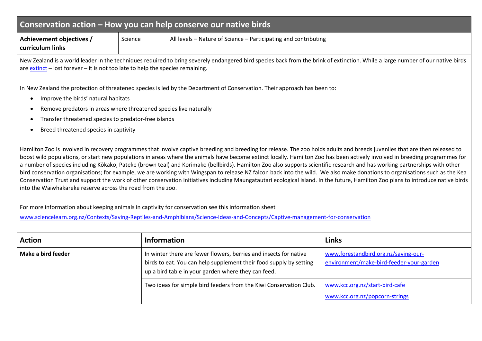## **Conservation action – How you can help conserve our native birds**

<span id="page-10-0"></span>**Achievement objectives / curriculum links** Science **All levels – Nature of Science – Participating and contributing** 

New Zealand is a world leader in the techniques required to bring severely endangered bird species back from the brink of extinction. While a large number of our native birds are [extinct](http://www.sciencelearn.org.nz/About-this-site/Glossary/extinction) – lost forever – it is not too late to help the species remaining.

In New Zealand the protection of threatened species is led by the Department of Conservation. Their approach has been to:

- Improve the birds' natural habitats
- Remove predators in areas where threatened species live naturally
- Transfer threatened species to predator-free islands
- Breed threatened species in captivity

Hamilton Zoo is involved in recovery programmes that involve captive breeding and breeding for release. The zoo holds adults and breeds juveniles that are then released to boost wild populations, or start new populations in areas where the animals have become extinct locally. Hamilton Zoo has been actively involved in breeding programmes for a number of species including Kōkako, Pateke (brown teal) and Korimako (bellbirds). Hamilton Zoo also supports scientific research and has working partnerships with other bird conservation organisations; for example, we are working with Wingspan to release NZ falcon back into the wild. We also make donations to organisations such as the Kea Conservation Trust and support the work of other conservation initiatives including Maungatautari ecological island. In the future, Hamilton Zoo plans to introduce native birds into the Waiwhakareke reserve across the road from the zoo.

For more information about keeping animals in captivity for conservation see this information sheet

[www.sciencelearn.org.nz/Contexts/Saving-Reptiles-and-Amphibians/Science-Ideas-and-Concepts/Captive-management-for-conservation](http://www.sciencelearn.org.nz/Contexts/Saving-Reptiles-and-Amphibians/Science-Ideas-and-Concepts/Captive-management-for-conservation)

| <b>Action</b>      | <b>Information</b>                                                                                                                                                                             | Links                                                                            |
|--------------------|------------------------------------------------------------------------------------------------------------------------------------------------------------------------------------------------|----------------------------------------------------------------------------------|
| Make a bird feeder | In winter there are fewer flowers, berries and insects for native<br>birds to eat. You can help supplement their food supply by setting<br>up a bird table in your garden where they can feed. | www.forestandbird.org.nz/saving-our-<br>environment/make-bird-feeder-your-garden |
|                    | Two ideas for simple bird feeders from the Kiwi Conservation Club.                                                                                                                             | www.kcc.org.nz/start-bird-cafe<br>www.kcc.org.nz/popcorn-strings                 |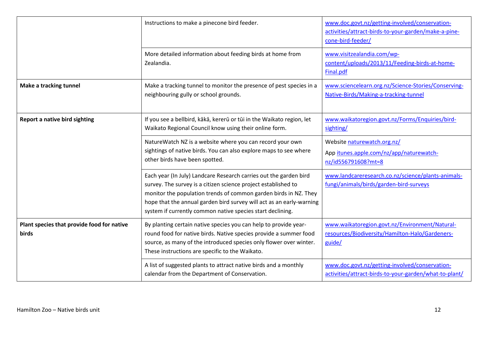|                                                     | Instructions to make a pinecone bird feeder.                                                                                                                                                                                                                                                                                                  | www.doc.govt.nz/getting-involved/conservation-<br>activities/attract-birds-to-your-garden/make-a-pine-<br>cone-bird-feeder/ |
|-----------------------------------------------------|-----------------------------------------------------------------------------------------------------------------------------------------------------------------------------------------------------------------------------------------------------------------------------------------------------------------------------------------------|-----------------------------------------------------------------------------------------------------------------------------|
|                                                     | More detailed information about feeding birds at home from<br>Zealandia.                                                                                                                                                                                                                                                                      | www.visitzealandia.com/wp-<br>content/uploads/2013/11/Feeding-birds-at-home-<br>Final.pdf                                   |
| <b>Make a tracking tunnel</b>                       | Make a tracking tunnel to monitor the presence of pest species in a<br>neighbouring gully or school grounds.                                                                                                                                                                                                                                  | www.sciencelearn.org.nz/Science-Stories/Conserving-<br>Native-Birds/Making-a-tracking-tunnel                                |
| Report a native bird sighting                       | If you see a bellbird, kākā, kererū or tūi in the Waikato region, let<br>Waikato Regional Council know using their online form.                                                                                                                                                                                                               | www.waikatoregion.govt.nz/Forms/Enquiries/bird-<br>sighting/                                                                |
|                                                     | NatureWatch NZ is a website where you can record your own<br>sightings of native birds. You can also explore maps to see where<br>other birds have been spotted.                                                                                                                                                                              | Website naturewatch.org.nz/<br>App itunes.apple.com/nz/app/naturewatch-<br>nz/id556791608?mt=8                              |
|                                                     | Each year (In July) Landcare Research carries out the garden bird<br>survey. The survey is a citizen science project established to<br>monitor the population trends of common garden birds in NZ. They<br>hope that the annual garden bird survey will act as an early-warning<br>system if currently common native species start declining. | www.landcareresearch.co.nz/science/plants-animals-<br>fungi/animals/birds/garden-bird-surveys                               |
| Plant species that provide food for native<br>birds | By planting certain native species you can help to provide year-<br>round food for native birds. Native species provide a summer food<br>source, as many of the introduced species only flower over winter.<br>These instructions are specific to the Waikato.                                                                                | www.waikatoregion.govt.nz/Environment/Natural-<br>resources/Biodiversity/Hamilton-Halo/Gardeners-<br>guide/                 |
|                                                     | A list of suggested plants to attract native birds and a monthly<br>calendar from the Department of Conservation.                                                                                                                                                                                                                             | www.doc.govt.nz/getting-involved/conservation-<br>activities/attract-birds-to-your-garden/what-to-plant/                    |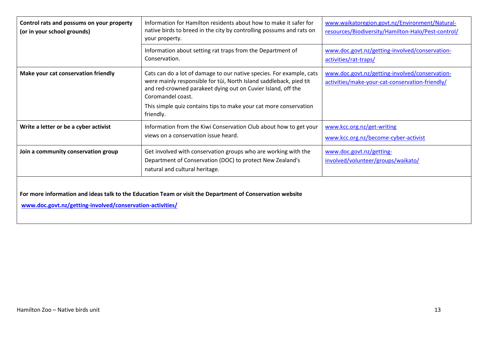| Control rats and possums on your property<br>(or in your school grounds)                                                                                               | Information for Hamilton residents about how to make it safer for<br>native birds to breed in the city by controlling possums and rats on<br>your property.                                                                                                                                                       | www.waikatoregion.govt.nz/Environment/Natural-<br>resources/Biodiversity/Hamilton-Halo/Pest-control/ |  |
|------------------------------------------------------------------------------------------------------------------------------------------------------------------------|-------------------------------------------------------------------------------------------------------------------------------------------------------------------------------------------------------------------------------------------------------------------------------------------------------------------|------------------------------------------------------------------------------------------------------|--|
|                                                                                                                                                                        | Information about setting rat traps from the Department of<br>Conservation.                                                                                                                                                                                                                                       | www.doc.govt.nz/getting-involved/conservation-<br>activities/rat-traps/                              |  |
| Make your cat conservation friendly                                                                                                                                    | Cats can do a lot of damage to our native species. For example, cats<br>were mainly responsible for tūi, North Island saddleback, pied tit<br>and red-crowned parakeet dying out on Cuvier Island, off the<br>Coromandel coast.<br>This simple quiz contains tips to make your cat more conservation<br>friendly. | www.doc.govt.nz/getting-involved/conservation-<br>activities/make-your-cat-conservation-friendly/    |  |
| Write a letter or be a cyber activist                                                                                                                                  | Information from the Kiwi Conservation Club about how to get your<br>views on a conservation issue heard.                                                                                                                                                                                                         | www.kcc.org.nz/get-writing<br>www.kcc.org.nz/become-cyber-activist                                   |  |
| Join a community conservation group                                                                                                                                    | Get involved with conservation groups who are working with the<br>Department of Conservation (DOC) to protect New Zealand's<br>natural and cultural heritage.                                                                                                                                                     | www.doc.govt.nz/getting-<br>involved/volunteer/groups/waikato/                                       |  |
| For more information and ideas talk to the Education Team or visit the Department of Conservation website<br>www.doc.govt.nz/getting-involved/conservation-activities/ |                                                                                                                                                                                                                                                                                                                   |                                                                                                      |  |